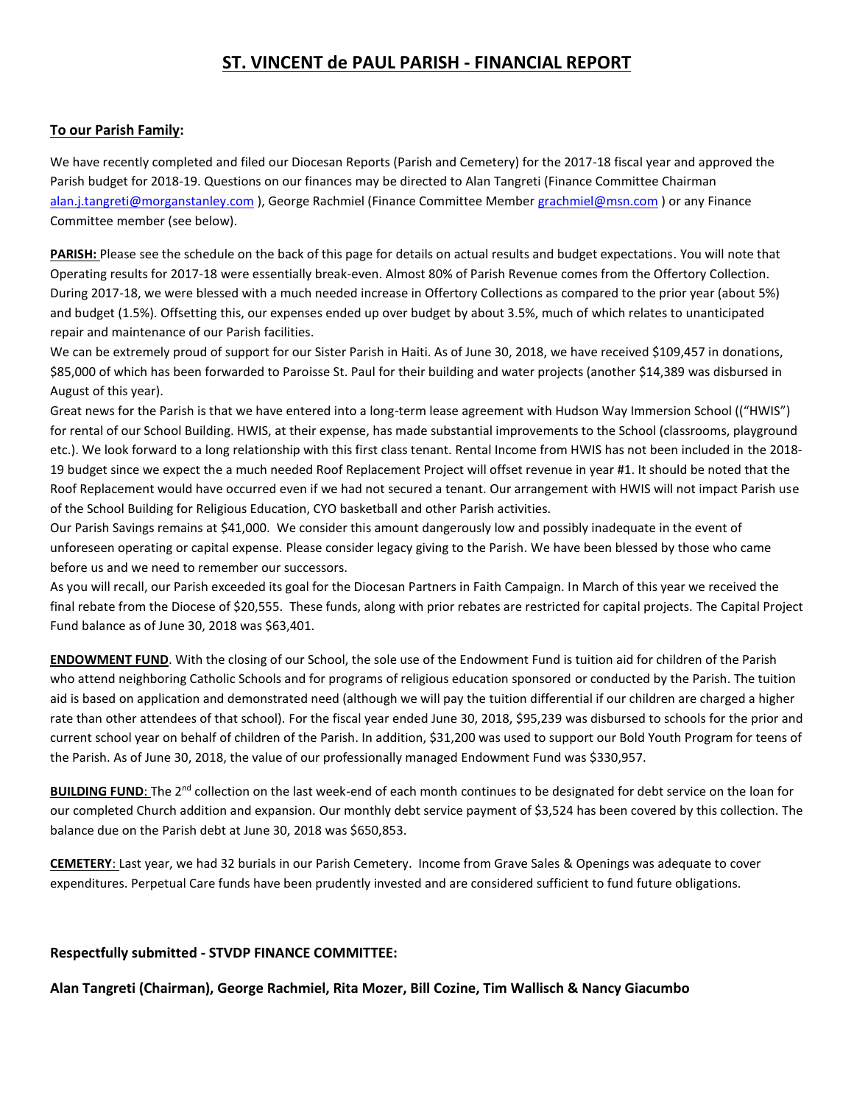# **ST. VINCENT de PAUL PARISH - FINANCIAL REPORT**

### **To our Parish Family:**

We have recently completed and filed our Diocesan Reports (Parish and Cemetery) for the 2017-18 fiscal year and approved the Parish budget for 2018-19. Questions on our finances may be directed to Alan Tangreti (Finance Committee Chairman [alan.j.tangreti@morganstanley.com](mailto:alan.j.tangreti@morganstanley.com) ), George Rachmiel (Finance Committee Member [grachmiel@msn.com](mailto:grachmiel@msn.com) ) or any Finance Committee member (see below).

**PARISH:** Please see the schedule on the back of this page for details on actual results and budget expectations. You will note that Operating results for 2017-18 were essentially break-even. Almost 80% of Parish Revenue comes from the Offertory Collection. During 2017-18, we were blessed with a much needed increase in Offertory Collections as compared to the prior year (about 5%) and budget (1.5%). Offsetting this, our expenses ended up over budget by about 3.5%, much of which relates to unanticipated repair and maintenance of our Parish facilities.

We can be extremely proud of support for our Sister Parish in Haiti. As of June 30, 2018, we have received \$109,457 in donations, \$85,000 of which has been forwarded to Paroisse St. Paul for their building and water projects (another \$14,389 was disbursed in August of this year).

Great news for the Parish is that we have entered into a long-term lease agreement with Hudson Way Immersion School (("HWIS") for rental of our School Building. HWIS, at their expense, has made substantial improvements to the School (classrooms, playground etc.). We look forward to a long relationship with this first class tenant. Rental Income from HWIS has not been included in the 2018- 19 budget since we expect the a much needed Roof Replacement Project will offset revenue in year #1. It should be noted that the Roof Replacement would have occurred even if we had not secured a tenant. Our arrangement with HWIS will not impact Parish use of the School Building for Religious Education, CYO basketball and other Parish activities.

Our Parish Savings remains at \$41,000. We consider this amount dangerously low and possibly inadequate in the event of unforeseen operating or capital expense. Please consider legacy giving to the Parish. We have been blessed by those who came before us and we need to remember our successors.

As you will recall, our Parish exceeded its goal for the Diocesan Partners in Faith Campaign. In March of this year we received the final rebate from the Diocese of \$20,555. These funds, along with prior rebates are restricted for capital projects. The Capital Project Fund balance as of June 30, 2018 was \$63,401.

**ENDOWMENT FUND**. With the closing of our School, the sole use of the Endowment Fund is tuition aid for children of the Parish who attend neighboring Catholic Schools and for programs of religious education sponsored or conducted by the Parish. The tuition aid is based on application and demonstrated need (although we will pay the tuition differential if our children are charged a higher rate than other attendees of that school). For the fiscal year ended June 30, 2018, \$95,239 was disbursed to schools for the prior and current school year on behalf of children of the Parish. In addition, \$31,200 was used to support our Bold Youth Program for teens of the Parish. As of June 30, 2018, the value of our professionally managed Endowment Fund was \$330,957.

**BUILDING FUND**: The 2<sup>nd</sup> collection on the last week-end of each month continues to be designated for debt service on the loan for our completed Church addition and expansion. Our monthly debt service payment of \$3,524 has been covered by this collection. The balance due on the Parish debt at June 30, 2018 was \$650,853.

**CEMETERY**: Last year, we had 32 burials in our Parish Cemetery. Income from Grave Sales & Openings was adequate to cover expenditures. Perpetual Care funds have been prudently invested and are considered sufficient to fund future obligations.

#### **Respectfully submitted - STVDP FINANCE COMMITTEE:**

**Alan Tangreti (Chairman), George Rachmiel, Rita Mozer, Bill Cozine, Tim Wallisch & Nancy Giacumbo**